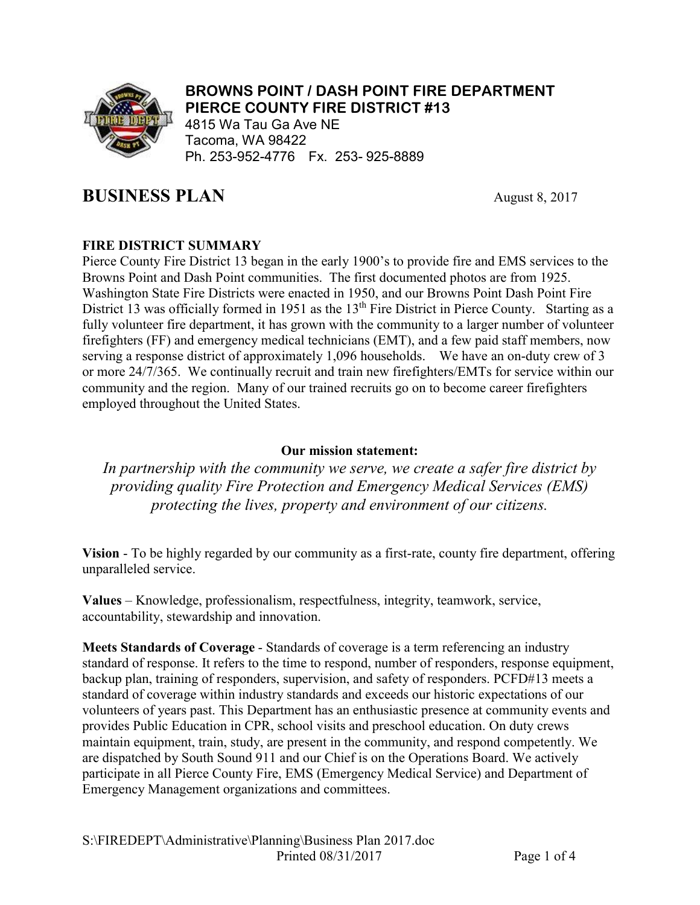

#### BROWNS POINT / DASH POINT FIRE DEPARTMENT PIERCE COUNTY FIRE DISTRICT #13

4815 Wa Tau Ga Ave NE Tacoma, WA 98422 Ph. 253-952-4776 Fx. 253- 925-8889

# **BUSINESS PLAN** August 8, 2017

# FIRE DISTRICT SUMMARY

Pierce County Fire District 13 began in the early 1900's to provide fire and EMS services to the Browns Point and Dash Point communities. The first documented photos are from 1925. Washington State Fire Districts were enacted in 1950, and our Browns Point Dash Point Fire District 13 was officially formed in 1951 as the 13<sup>th</sup> Fire District in Pierce County. Starting as a fully volunteer fire department, it has grown with the community to a larger number of volunteer firefighters (FF) and emergency medical technicians (EMT), and a few paid staff members, now serving a response district of approximately 1,096 households. We have an on-duty crew of 3 or more 24/7/365. We continually recruit and train new firefighters/EMTs for service within our community and the region. Many of our trained recruits go on to become career firefighters employed throughout the United States.

## Our mission statement:

*In partnership with the community we serve, we create a safer fire district by providing quality Fire Protection and Emergency Medical Services (EMS) protecting the lives, property and environment of our citizens.* 

Vision - To be highly regarded by our community as a first-rate, county fire department, offering unparalleled service.

Values – Knowledge, professionalism, respectfulness, integrity, teamwork, service, accountability, stewardship and innovation.

Meets Standards of Coverage - Standards of coverage is a term referencing an industry standard of response. It refers to the time to respond, number of responders, response equipment, backup plan, training of responders, supervision, and safety of responders. PCFD#13 meets a standard of coverage within industry standards and exceeds our historic expectations of our volunteers of years past. This Department has an enthusiastic presence at community events and provides Public Education in CPR, school visits and preschool education. On duty crews maintain equipment, train, study, are present in the community, and respond competently. We are dispatched by South Sound 911 and our Chief is on the Operations Board. We actively participate in all Pierce County Fire, EMS (Emergency Medical Service) and Department of Emergency Management organizations and committees.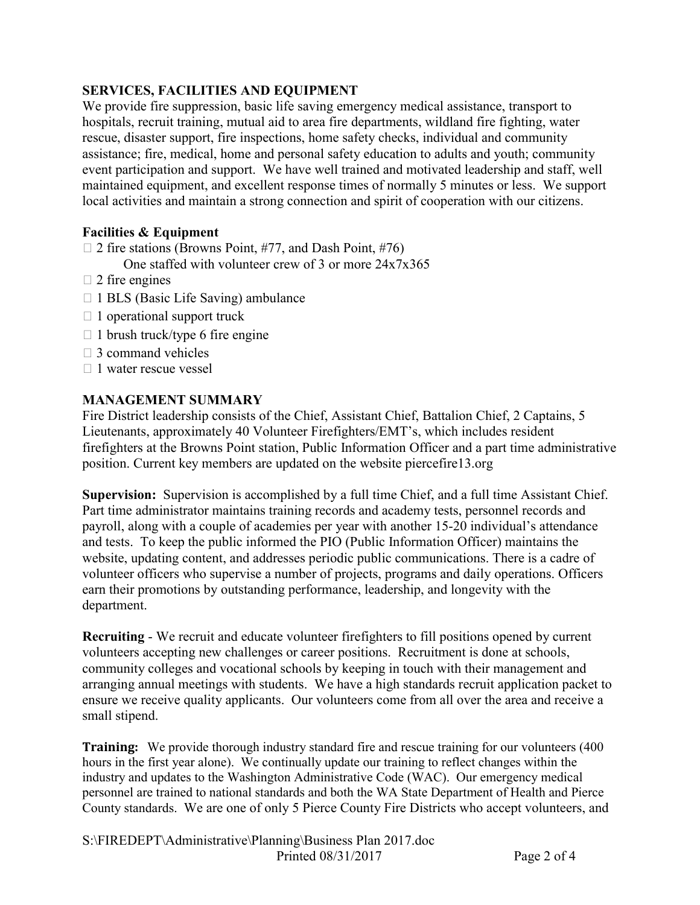### SERVICES, FACILITIES AND EQUIPMENT

We provide fire suppression, basic life saving emergency medical assistance, transport to hospitals, recruit training, mutual aid to area fire departments, wildland fire fighting, water rescue, disaster support, fire inspections, home safety checks, individual and community assistance; fire, medical, home and personal safety education to adults and youth; community event participation and support. We have well trained and motivated leadership and staff, well maintained equipment, and excellent response times of normally 5 minutes or less. We support local activities and maintain a strong connection and spirit of cooperation with our citizens.

#### Facilities & Equipment

 $\Box$  2 fire stations (Browns Point, #77, and Dash Point, #76)

One staffed with volunteer crew of 3 or more 24x7x365

- $\Box$  2 fire engines
- $\Box$  1 BLS (Basic Life Saving) ambulance
- $\Box$  1 operational support truck
- $\Box$  1 brush truck/type 6 fire engine
- $\Box$  3 command vehicles
- $\Box$  1 water rescue vessel

#### MANAGEMENT SUMMARY

Fire District leadership consists of the Chief, Assistant Chief, Battalion Chief, 2 Captains, 5 Lieutenants, approximately 40 Volunteer Firefighters/EMT's, which includes resident firefighters at the Browns Point station, Public Information Officer and a part time administrative position. Current key members are updated on the website piercefire13.org

Supervision: Supervision is accomplished by a full time Chief, and a full time Assistant Chief. Part time administrator maintains training records and academy tests, personnel records and payroll, along with a couple of academies per year with another 15-20 individual's attendance and tests. To keep the public informed the PIO (Public Information Officer) maintains the website, updating content, and addresses periodic public communications. There is a cadre of volunteer officers who supervise a number of projects, programs and daily operations. Officers earn their promotions by outstanding performance, leadership, and longevity with the department.

Recruiting - We recruit and educate volunteer firefighters to fill positions opened by current volunteers accepting new challenges or career positions. Recruitment is done at schools, community colleges and vocational schools by keeping in touch with their management and arranging annual meetings with students. We have a high standards recruit application packet to ensure we receive quality applicants. Our volunteers come from all over the area and receive a small stipend.

**Training:** We provide thorough industry standard fire and rescue training for our volunteers (400) hours in the first year alone). We continually update our training to reflect changes within the industry and updates to the Washington Administrative Code (WAC). Our emergency medical personnel are trained to national standards and both the WA State Department of Health and Pierce County standards. We are one of only 5 Pierce County Fire Districts who accept volunteers, and

S:\FIREDEPT\Administrative\Planning\Business Plan 2017.doc Printed  $08/31/2017$  Page 2 of 4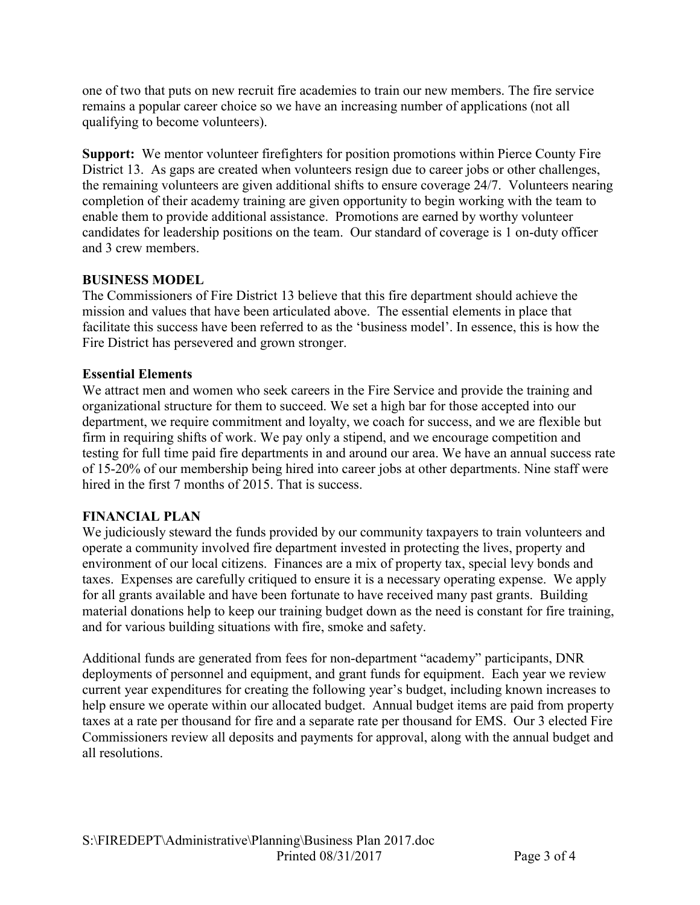one of two that puts on new recruit fire academies to train our new members. The fire service remains a popular career choice so we have an increasing number of applications (not all qualifying to become volunteers).

Support: We mentor volunteer firefighters for position promotions within Pierce County Fire District 13. As gaps are created when volunteers resign due to career jobs or other challenges, the remaining volunteers are given additional shifts to ensure coverage 24/7. Volunteers nearing completion of their academy training are given opportunity to begin working with the team to enable them to provide additional assistance. Promotions are earned by worthy volunteer candidates for leadership positions on the team. Our standard of coverage is 1 on-duty officer and 3 crew members.

## BUSINESS MODEL

The Commissioners of Fire District 13 believe that this fire department should achieve the mission and values that have been articulated above. The essential elements in place that facilitate this success have been referred to as the 'business model'. In essence, this is how the Fire District has persevered and grown stronger.

#### Essential Elements

We attract men and women who seek careers in the Fire Service and provide the training and organizational structure for them to succeed. We set a high bar for those accepted into our department, we require commitment and loyalty, we coach for success, and we are flexible but firm in requiring shifts of work. We pay only a stipend, and we encourage competition and testing for full time paid fire departments in and around our area. We have an annual success rate of 15-20% of our membership being hired into career jobs at other departments. Nine staff were hired in the first 7 months of 2015. That is success.

#### FINANCIAL PLAN

We judiciously steward the funds provided by our community taxpayers to train volunteers and operate a community involved fire department invested in protecting the lives, property and environment of our local citizens. Finances are a mix of property tax, special levy bonds and taxes. Expenses are carefully critiqued to ensure it is a necessary operating expense. We apply for all grants available and have been fortunate to have received many past grants. Building material donations help to keep our training budget down as the need is constant for fire training, and for various building situations with fire, smoke and safety.

Additional funds are generated from fees for non-department "academy" participants, DNR deployments of personnel and equipment, and grant funds for equipment. Each year we review current year expenditures for creating the following year's budget, including known increases to help ensure we operate within our allocated budget. Annual budget items are paid from property taxes at a rate per thousand for fire and a separate rate per thousand for EMS. Our 3 elected Fire Commissioners review all deposits and payments for approval, along with the annual budget and all resolutions.